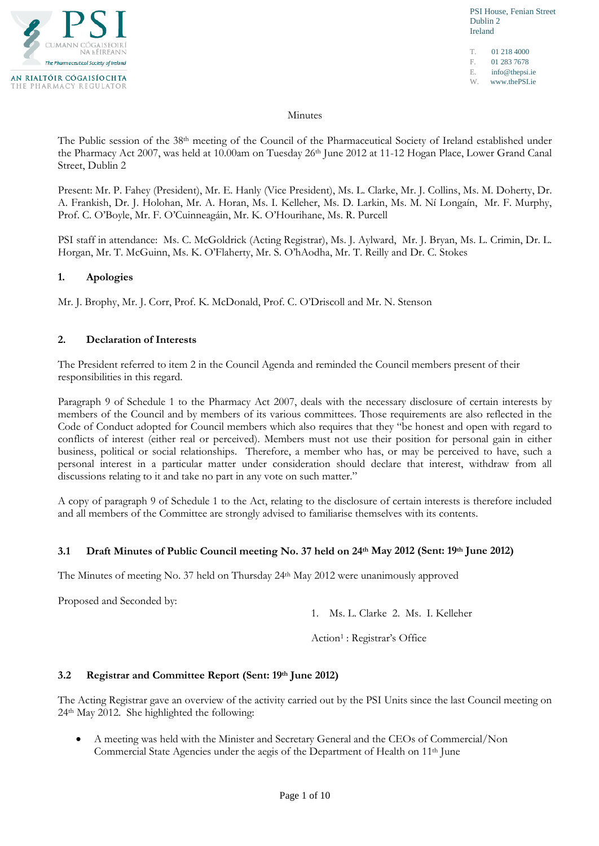

PSI House, Fenian Street Dublin 2 Ireland

T. 01 218 4000 F. 01 283 7678 E. info@thepsi.ie W. www.thePSI.ie

#### Minutes

The Public session of the 38th meeting of the Council of the Pharmaceutical Society of Ireland established under the Pharmacy Act 2007, was held at 10.00am on Tuesday 26<sup>th</sup> June 2012 at 11-12 Hogan Place, Lower Grand Canal Street, Dublin 2

Present: Mr. P. Fahey (President), Mr. E. Hanly (Vice President), Ms. L. Clarke, Mr. J. Collins, Ms. M. Doherty, Dr. A. Frankish, Dr. J. Holohan, Mr. A. Horan, Ms. I. Kelleher, Ms. D. Larkin, Ms. M. Ní Longaín, Mr. F. Murphy, Prof. C. O'Boyle, Mr. F. O'Cuinneagáin, Mr. K. O'Hourihane, Ms. R. Purcell

PSI staff in attendance: Ms. C. McGoldrick (Acting Registrar), Ms. J. Aylward, Mr. J. Bryan, Ms. L. Crimin, Dr. L. Horgan, Mr. T. McGuinn, Ms. K. O'Flaherty, Mr. S. O'hAodha, Mr. T. Reilly and Dr. C. Stokes

### **1. Apologies**

Mr. J. Brophy, Mr. J. Corr, Prof. K. McDonald, Prof. C. O'Driscoll and Mr. N. Stenson

#### **2. Declaration of Interests**

The President referred to item 2 in the Council Agenda and reminded the Council members present of their responsibilities in this regard.

Paragraph 9 of Schedule 1 to the Pharmacy Act 2007, deals with the necessary disclosure of certain interests by members of the Council and by members of its various committees. Those requirements are also reflected in the Code of Conduct adopted for Council members which also requires that they "be honest and open with regard to conflicts of interest (either real or perceived). Members must not use their position for personal gain in either business, political or social relationships. Therefore, a member who has, or may be perceived to have, such a personal interest in a particular matter under consideration should declare that interest, withdraw from all discussions relating to it and take no part in any vote on such matter."

A copy of paragraph 9 of Schedule 1 to the Act, relating to the disclosure of certain interests is therefore included and all members of the Committee are strongly advised to familiarise themselves with its contents.

#### **3.1 Draft Minutes of Public Council meeting No. 37 held on 24th May 2012 (Sent: 19th June 2012)**

The Minutes of meeting No. 37 held on Thursday 24th May 2012 were unanimously approved

Proposed and Seconded by:

1. Ms. L. Clarke 2. Ms. I. Kelleher

Action1 : Registrar's Office

#### **3.2 Registrar and Committee Report (Sent: 19th June 2012)**

The Acting Registrar gave an overview of the activity carried out by the PSI Units since the last Council meeting on 24th May 2012. She highlighted the following:

• A meeting was held with the Minister and Secretary General and the CEOs of Commercial/Non Commercial State Agencies under the aegis of the Department of Health on 11th June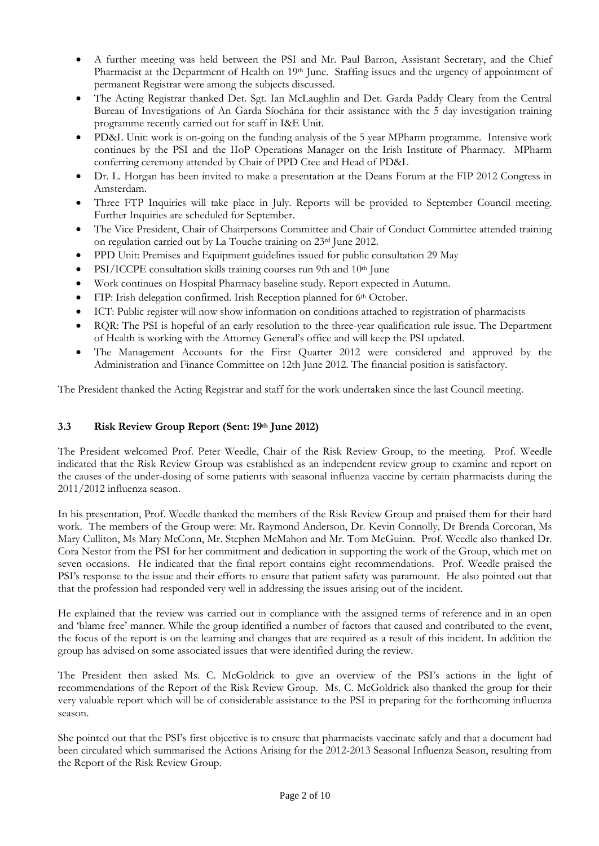- A further meeting was held between the PSI and Mr. Paul Barron, Assistant Secretary, and the Chief Pharmacist at the Department of Health on 19<sup>th</sup> June. Staffing issues and the urgency of appointment of permanent Registrar were among the subjects discussed.
- The Acting Registrar thanked Det. Sgt. Ian McLaughlin and Det. Garda Paddy Cleary from the Central Bureau of Investigations of An Garda Síochána for their assistance with the 5 day investigation training programme recently carried out for staff in I&E Unit.
- PD&L Unit: work is on-going on the funding analysis of the 5 year MPharm programme. Intensive work continues by the PSI and the IIoP Operations Manager on the Irish Institute of Pharmacy. MPharm conferring ceremony attended by Chair of PPD Ctee and Head of PD&L
- Dr. L. Horgan has been invited to make a presentation at the Deans Forum at the FIP 2012 Congress in Amsterdam.
- Three FTP Inquiries will take place in July. Reports will be provided to September Council meeting. Further Inquiries are scheduled for September.
- The Vice President, Chair of Chairpersons Committee and Chair of Conduct Committee attended training on regulation carried out by La Touche training on 23rd June 2012.
- PPD Unit: Premises and Equipment guidelines issued for public consultation 29 May
- PSI/ICCPE consultation skills training courses run 9th and 10th June
- Work continues on Hospital Pharmacy baseline study. Report expected in Autumn.
- FIP: Irish delegation confirmed. Irish Reception planned for 6th October.
- ICT: Public register will now show information on conditions attached to registration of pharmacists
- RQR: The PSI is hopeful of an early resolution to the three-year qualification rule issue. The Department of Health is working with the Attorney General's office and will keep the PSI updated.
- The Management Accounts for the First Quarter 2012 were considered and approved by the Administration and Finance Committee on 12th June 2012. The financial position is satisfactory.

The President thanked the Acting Registrar and staff for the work undertaken since the last Council meeting.

# **3.3 Risk Review Group Report (Sent: 19th June 2012)**

The President welcomed Prof. Peter Weedle, Chair of the Risk Review Group, to the meeting. Prof. Weedle indicated that the Risk Review Group was established as an independent review group to examine and report on the causes of the under-dosing of some patients with seasonal influenza vaccine by certain pharmacists during the 2011/2012 influenza season.

In his presentation, Prof. Weedle thanked the members of the Risk Review Group and praised them for their hard work. The members of the Group were: Mr. Raymond Anderson, Dr. Kevin Connolly, Dr Brenda Corcoran, Ms Mary Culliton, Ms Mary McConn, Mr. Stephen McMahon and Mr. Tom McGuinn. Prof. Weedle also thanked Dr. Cora Nestor from the PSI for her commitment and dedication in supporting the work of the Group, which met on seven occasions. He indicated that the final report contains eight recommendations. Prof. Weedle praised the PSI's response to the issue and their efforts to ensure that patient safety was paramount. He also pointed out that that the profession had responded very well in addressing the issues arising out of the incident.

He explained that the review was carried out in compliance with the assigned terms of reference and in an open and 'blame free' manner. While the group identified a number of factors that caused and contributed to the event, the focus of the report is on the learning and changes that are required as a result of this incident. In addition the group has advised on some associated issues that were identified during the review.

The President then asked Ms. C. McGoldrick to give an overview of the PSI's actions in the light of recommendations of the Report of the Risk Review Group. Ms. C. McGoldrick also thanked the group for their very valuable report which will be of considerable assistance to the PSI in preparing for the forthcoming influenza season.

She pointed out that the PSI's first objective is to ensure that pharmacists vaccinate safely and that a document had been circulated which summarised the Actions Arising for the 2012-2013 Seasonal Influenza Season, resulting from the Report of the Risk Review Group.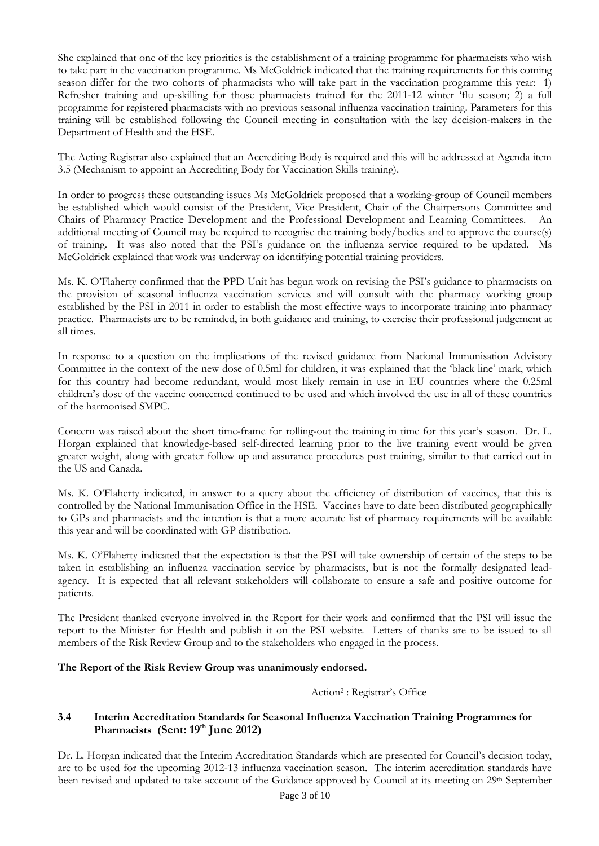She explained that one of the key priorities is the establishment of a training programme for pharmacists who wish to take part in the vaccination programme. Ms McGoldrick indicated that the training requirements for this coming season differ for the two cohorts of pharmacists who will take part in the vaccination programme this year: 1) Refresher training and up-skilling for those pharmacists trained for the 2011-12 winter 'flu season; 2) a full programme for registered pharmacists with no previous seasonal influenza vaccination training. Parameters for this training will be established following the Council meeting in consultation with the key decision-makers in the Department of Health and the HSE.

The Acting Registrar also explained that an Accrediting Body is required and this will be addressed at Agenda item 3.5 (Mechanism to appoint an Accrediting Body for Vaccination Skills training).

In order to progress these outstanding issues Ms McGoldrick proposed that a working-group of Council members be established which would consist of the President, Vice President, Chair of the Chairpersons Committee and Chairs of Pharmacy Practice Development and the Professional Development and Learning Committees. An additional meeting of Council may be required to recognise the training body/bodies and to approve the course(s) of training. It was also noted that the PSI's guidance on the influenza service required to be updated. Ms McGoldrick explained that work was underway on identifying potential training providers.

Ms. K. O'Flaherty confirmed that the PPD Unit has begun work on revising the PSI's guidance to pharmacists on the provision of seasonal influenza vaccination services and will consult with the pharmacy working group established by the PSI in 2011 in order to establish the most effective ways to incorporate training into pharmacy practice. Pharmacists are to be reminded, in both guidance and training, to exercise their professional judgement at all times.

In response to a question on the implications of the revised guidance from National Immunisation Advisory Committee in the context of the new dose of 0.5ml for children, it was explained that the 'black line' mark, which for this country had become redundant, would most likely remain in use in EU countries where the 0.25ml children's dose of the vaccine concerned continued to be used and which involved the use in all of these countries of the harmonised SMPC.

Concern was raised about the short time-frame for rolling-out the training in time for this year's season. Dr. L. Horgan explained that knowledge-based self-directed learning prior to the live training event would be given greater weight, along with greater follow up and assurance procedures post training, similar to that carried out in the US and Canada.

Ms. K. O'Flaherty indicated, in answer to a query about the efficiency of distribution of vaccines, that this is controlled by the National Immunisation Office in the HSE. Vaccines have to date been distributed geographically to GPs and pharmacists and the intention is that a more accurate list of pharmacy requirements will be available this year and will be coordinated with GP distribution.

Ms. K. O'Flaherty indicated that the expectation is that the PSI will take ownership of certain of the steps to be taken in establishing an influenza vaccination service by pharmacists, but is not the formally designated leadagency. It is expected that all relevant stakeholders will collaborate to ensure a safe and positive outcome for patients.

The President thanked everyone involved in the Report for their work and confirmed that the PSI will issue the report to the Minister for Health and publish it on the PSI website. Letters of thanks are to be issued to all members of the Risk Review Group and to the stakeholders who engaged in the process.

### **The Report of the Risk Review Group was unanimously endorsed.**

Action2 : Registrar's Office

# **3.4 Interim Accreditation Standards for Seasonal Influenza Vaccination Training Programmes for Pharmacists (Sent: 19th June 2012)**

Dr. L. Horgan indicated that the Interim Accreditation Standards which are presented for Council's decision today, are to be used for the upcoming 2012-13 influenza vaccination season. The interim accreditation standards have been revised and updated to take account of the Guidance approved by Council at its meeting on 29<sup>th</sup> September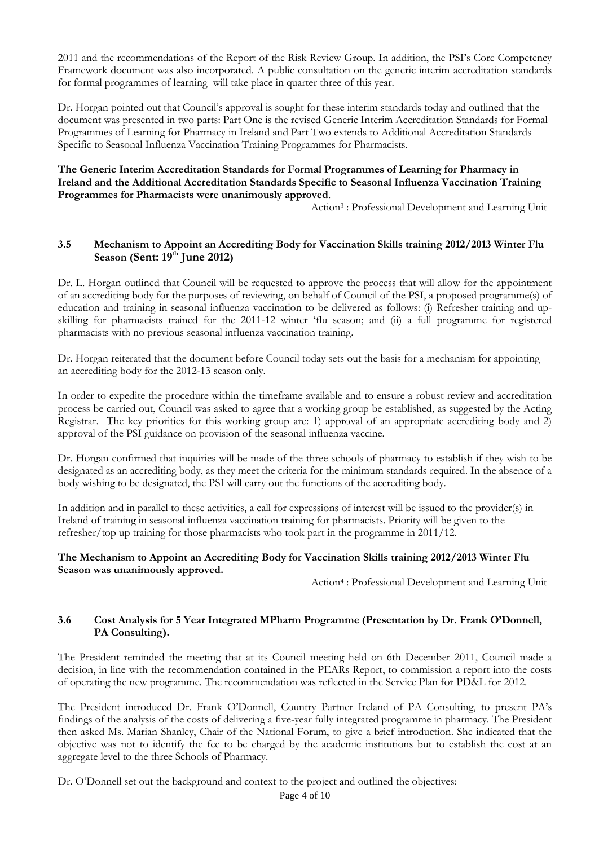2011 and the recommendations of the Report of the Risk Review Group. In addition, the PSI's Core Competency Framework document was also incorporated. A public consultation on the generic interim accreditation standards for formal programmes of learning will take place in quarter three of this year.

Dr. Horgan pointed out that Council's approval is sought for these interim standards today and outlined that the document was presented in two parts: Part One is the revised Generic Interim Accreditation Standards for Formal Programmes of Learning for Pharmacy in Ireland and Part Two extends to Additional Accreditation Standards Specific to Seasonal Influenza Vaccination Training Programmes for Pharmacists.

### **The Generic Interim Accreditation Standards for Formal Programmes of Learning for Pharmacy in Ireland and the Additional Accreditation Standards Specific to Seasonal Influenza Vaccination Training Programmes for Pharmacists were unanimously approved**.

Action3 : Professional Development and Learning Unit

# **3.5 Mechanism to Appoint an Accrediting Body for Vaccination Skills training 2012/2013 Winter Flu Season (Sent: 19th June 2012)**

Dr. L. Horgan outlined that Council will be requested to approve the process that will allow for the appointment of an accrediting body for the purposes of reviewing, on behalf of Council of the PSI, a proposed programme(s) of education and training in seasonal influenza vaccination to be delivered as follows: (i) Refresher training and upskilling for pharmacists trained for the 2011-12 winter 'flu season; and (ii) a full programme for registered pharmacists with no previous seasonal influenza vaccination training.

Dr. Horgan reiterated that the document before Council today sets out the basis for a mechanism for appointing an accrediting body for the 2012-13 season only.

In order to expedite the procedure within the timeframe available and to ensure a robust review and accreditation process be carried out, Council was asked to agree that a working group be established, as suggested by the Acting Registrar. The key priorities for this working group are: 1) approval of an appropriate accrediting body and 2) approval of the PSI guidance on provision of the seasonal influenza vaccine.

Dr. Horgan confirmed that inquiries will be made of the three schools of pharmacy to establish if they wish to be designated as an accrediting body, as they meet the criteria for the minimum standards required. In the absence of a body wishing to be designated, the PSI will carry out the functions of the accrediting body.

In addition and in parallel to these activities, a call for expressions of interest will be issued to the provider(s) in Ireland of training in seasonal influenza vaccination training for pharmacists. Priority will be given to the refresher/top up training for those pharmacists who took part in the programme in 2011/12.

### **The Mechanism to Appoint an Accrediting Body for Vaccination Skills training 2012/2013 Winter Flu Season was unanimously approved.**

Action4 : Professional Development and Learning Unit

# **3.6 Cost Analysis for 5 Year Integrated MPharm Programme (Presentation by Dr. Frank O'Donnell, PA Consulting).**

The President reminded the meeting that at its Council meeting held on 6th December 2011, Council made a decision, in line with the recommendation contained in the PEARs Report, to commission a report into the costs of operating the new programme. The recommendation was reflected in the Service Plan for PD&L for 2012.

The President introduced Dr. Frank O'Donnell, Country Partner Ireland of PA Consulting, to present PA's findings of the analysis of the costs of delivering a five-year fully integrated programme in pharmacy. The President then asked Ms. Marian Shanley, Chair of the National Forum, to give a brief introduction. She indicated that the objective was not to identify the fee to be charged by the academic institutions but to establish the cost at an aggregate level to the three Schools of Pharmacy.

Dr. O'Donnell set out the background and context to the project and outlined the objectives: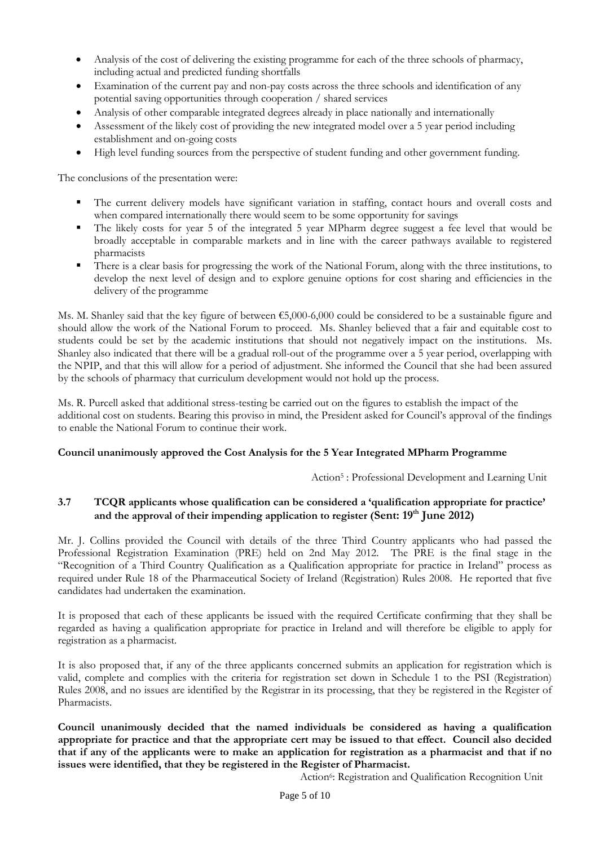- Analysis of the cost of delivering the existing programme for each of the three schools of pharmacy, including actual and predicted funding shortfalls
- Examination of the current pay and non-pay costs across the three schools and identification of any potential saving opportunities through cooperation / shared services
- Analysis of other comparable integrated degrees already in place nationally and internationally
- Assessment of the likely cost of providing the new integrated model over a 5 year period including establishment and on-going costs
- High level funding sources from the perspective of student funding and other government funding.

The conclusions of the presentation were:

- The current delivery models have significant variation in staffing, contact hours and overall costs and when compared internationally there would seem to be some opportunity for savings
- The likely costs for year 5 of the integrated 5 year MPharm degree suggest a fee level that would be broadly acceptable in comparable markets and in line with the career pathways available to registered pharmacists
- There is a clear basis for progressing the work of the National Forum, along with the three institutions, to develop the next level of design and to explore genuine options for cost sharing and efficiencies in the delivery of the programme

Ms. M. Shanley said that the key figure of between  $\epsilon$ 5,000-6,000 could be considered to be a sustainable figure and should allow the work of the National Forum to proceed. Ms. Shanley believed that a fair and equitable cost to students could be set by the academic institutions that should not negatively impact on the institutions. Ms. Shanley also indicated that there will be a gradual roll-out of the programme over a 5 year period, overlapping with the NPIP, and that this will allow for a period of adjustment. She informed the Council that she had been assured by the schools of pharmacy that curriculum development would not hold up the process.

Ms. R. Purcell asked that additional stress-testing be carried out on the figures to establish the impact of the additional cost on students. Bearing this proviso in mind, the President asked for Council's approval of the findings to enable the National Forum to continue their work.

### **Council unanimously approved the Cost Analysis for the 5 Year Integrated MPharm Programme**

Action5 : Professional Development and Learning Unit

# **3.7 TCQR applicants whose qualification can be considered a 'qualification appropriate for practice' and the approval of their impending application to register (Sent: 19th June 2012)**

Mr. J. Collins provided the Council with details of the three Third Country applicants who had passed the Professional Registration Examination (PRE) held on 2nd May 2012. The PRE is the final stage in the "Recognition of a Third Country Qualification as a Qualification appropriate for practice in Ireland" process as required under Rule 18 of the Pharmaceutical Society of Ireland (Registration) Rules 2008. He reported that five candidates had undertaken the examination.

It is proposed that each of these applicants be issued with the required Certificate confirming that they shall be regarded as having a qualification appropriate for practice in Ireland and will therefore be eligible to apply for registration as a pharmacist.

It is also proposed that, if any of the three applicants concerned submits an application for registration which is valid, complete and complies with the criteria for registration set down in Schedule 1 to the PSI (Registration) Rules 2008, and no issues are identified by the Registrar in its processing, that they be registered in the Register of Pharmacists.

**Council unanimously decided that the named individuals be considered as having a qualification appropriate for practice and that the appropriate cert may be issued to that effect. Council also decided that if any of the applicants were to make an application for registration as a pharmacist and that if no issues were identified, that they be registered in the Register of Pharmacist.** 

Action<sup>6</sup>: Registration and Qualification Recognition Unit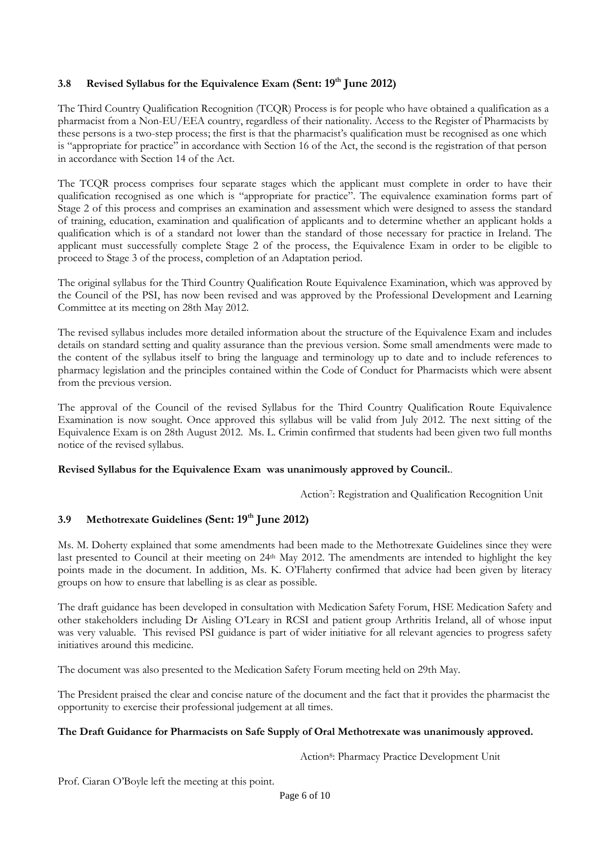# **3.8 Revised Syllabus for the Equivalence Exam (Sent: 19th June 2012)**

The Third Country Qualification Recognition (TCQR) Process is for people who have obtained a qualification as a pharmacist from a Non-EU/EEA country, regardless of their nationality. Access to the Register of Pharmacists by these persons is a two-step process; the first is that the pharmacist's qualification must be recognised as one which is "appropriate for practice" in accordance with Section 16 of the Act, the second is the registration of that person in accordance with Section 14 of the Act.

The TCQR process comprises four separate stages which the applicant must complete in order to have their qualification recognised as one which is "appropriate for practice". The equivalence examination forms part of Stage 2 of this process and comprises an examination and assessment which were designed to assess the standard of training, education, examination and qualification of applicants and to determine whether an applicant holds a qualification which is of a standard not lower than the standard of those necessary for practice in Ireland. The applicant must successfully complete Stage 2 of the process, the Equivalence Exam in order to be eligible to proceed to Stage 3 of the process, completion of an Adaptation period.

The original syllabus for the Third Country Qualification Route Equivalence Examination, which was approved by the Council of the PSI, has now been revised and was approved by the Professional Development and Learning Committee at its meeting on 28th May 2012.

The revised syllabus includes more detailed information about the structure of the Equivalence Exam and includes details on standard setting and quality assurance than the previous version. Some small amendments were made to the content of the syllabus itself to bring the language and terminology up to date and to include references to pharmacy legislation and the principles contained within the Code of Conduct for Pharmacists which were absent from the previous version.

The approval of the Council of the revised Syllabus for the Third Country Qualification Route Equivalence Examination is now sought. Once approved this syllabus will be valid from July 2012. The next sitting of the Equivalence Exam is on 28th August 2012. Ms. L. Crimin confirmed that students had been given two full months notice of the revised syllabus.

# **Revised Syllabus for the Equivalence Exam was unanimously approved by Council.**.

Action<sup>7</sup>: Registration and Qualification Recognition Unit

# **3.9 Methotrexate Guidelines (Sent: 19th June 2012)**

Ms. M. Doherty explained that some amendments had been made to the Methotrexate Guidelines since they were last presented to Council at their meeting on 24<sup>th</sup> May 2012. The amendments are intended to highlight the key points made in the document. In addition, Ms. K. O'Flaherty confirmed that advice had been given by literacy groups on how to ensure that labelling is as clear as possible.

The draft guidance has been developed in consultation with Medication Safety Forum, HSE Medication Safety and other stakeholders including Dr Aisling O'Leary in RCSI and patient group Arthritis Ireland, all of whose input was very valuable. This revised PSI guidance is part of wider initiative for all relevant agencies to progress safety initiatives around this medicine.

The document was also presented to the Medication Safety Forum meeting held on 29th May.

The President praised the clear and concise nature of the document and the fact that it provides the pharmacist the opportunity to exercise their professional judgement at all times.

### **The Draft Guidance for Pharmacists on Safe Supply of Oral Methotrexate was unanimously approved.**

Action<sup>8</sup>: Pharmacy Practice Development Unit

Prof. Ciaran O'Boyle left the meeting at this point.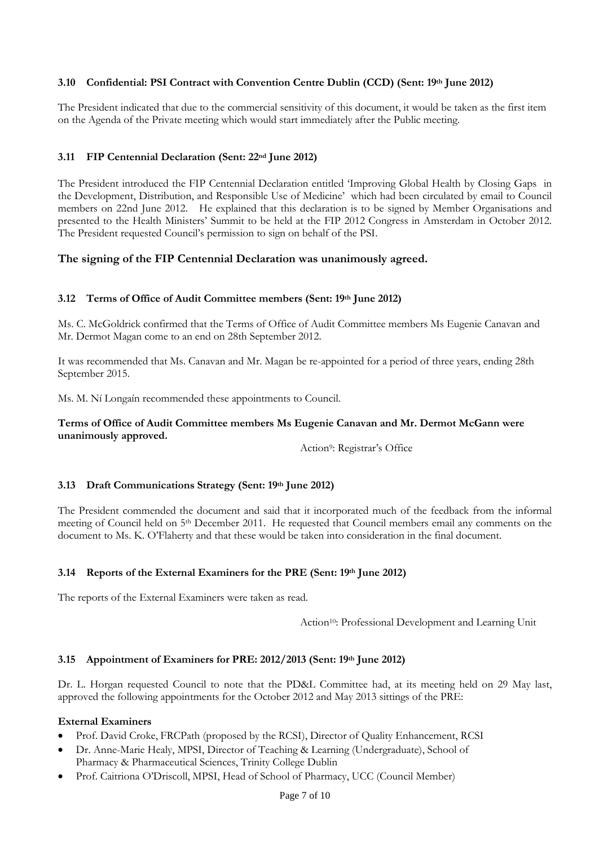# **3.10 Confidential: PSI Contract with Convention Centre Dublin (CCD) (Sent: 19th June 2012)**

The President indicated that due to the commercial sensitivity of this document, it would be taken as the first item on the Agenda of the Private meeting which would start immediately after the Public meeting.

# **3.11 FIP Centennial Declaration (Sent: 22nd June 2012)**

The President introduced the FIP Centennial Declaration entitled 'Improving Global Health by Closing Gaps in the Development, Distribution, and Responsible Use of Medicine' which had been circulated by email to Council members on 22nd June 2012. He explained that this declaration is to be signed by Member Organisations and presented to the Health Ministers' Summit to be held at the FIP 2012 Congress in Amsterdam in October 2012. The President requested Council's permission to sign on behalf of the PSI.

# **The signing of the FIP Centennial Declaration was unanimously agreed.**

### **3.12 Terms of Office of Audit Committee members (Sent: 19th June 2012)**

Ms. C. McGoldrick confirmed that the Terms of Office of Audit Committee members Ms Eugenie Canavan and Mr. Dermot Magan come to an end on 28th September 2012.

It was recommended that Ms. Canavan and Mr. Magan be re-appointed for a period of three years, ending 28th September 2015.

Ms. M. Ní Longaín recommended these appointments to Council.

### **Terms of Office of Audit Committee members Ms Eugenie Canavan and Mr. Dermot McGann were unanimously approved.**

Action9: Registrar's Office

### **3.13 Draft Communications Strategy (Sent: 19th June 2012)**

The President commended the document and said that it incorporated much of the feedback from the informal meeting of Council held on 5th December 2011. He requested that Council members email any comments on the document to Ms. K. O'Flaherty and that these would be taken into consideration in the final document.

### **3.14 Reports of the External Examiners for the PRE (Sent: 19th June 2012)**

The reports of the External Examiners were taken as read.

Action<sup>10</sup>: Professional Development and Learning Unit

### **3.15 Appointment of Examiners for PRE: 2012/2013 (Sent: 19th June 2012)**

Dr. L. Horgan requested Council to note that the PD&L Committee had, at its meeting held on 29 May last, approved the following appointments for the October 2012 and May 2013 sittings of the PRE:

#### **External Examiners**

- Prof. David Croke, FRCPath (proposed by the RCSI), Director of Quality Enhancement, RCSI
- Dr. Anne-Marie Healy, MPSI, Director of Teaching & Learning (Undergraduate), School of Pharmacy & Pharmaceutical Sciences, Trinity College Dublin
- Prof. Caitriona O'Driscoll, MPSI, Head of School of Pharmacy, UCC (Council Member)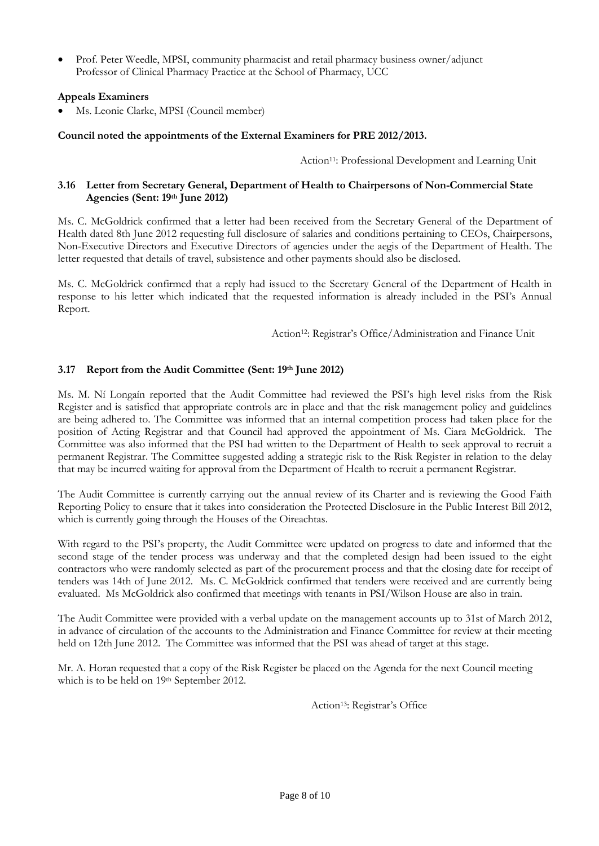• Prof. Peter Weedle, MPSI, community pharmacist and retail pharmacy business owner/adjunct Professor of Clinical Pharmacy Practice at the School of Pharmacy, UCC

# **Appeals Examiners**

• Ms. Leonie Clarke, MPSI (Council member)

# **Council noted the appointments of the External Examiners for PRE 2012/2013.**

Action<sup>11</sup>: Professional Development and Learning Unit

### **3.16 Letter from Secretary General, Department of Health to Chairpersons of Non-Commercial State Agencies (Sent: 19th June 2012)**

Ms. C. McGoldrick confirmed that a letter had been received from the Secretary General of the Department of Health dated 8th June 2012 requesting full disclosure of salaries and conditions pertaining to CEOs, Chairpersons, Non-Executive Directors and Executive Directors of agencies under the aegis of the Department of Health. The letter requested that details of travel, subsistence and other payments should also be disclosed.

Ms. C. McGoldrick confirmed that a reply had issued to the Secretary General of the Department of Health in response to his letter which indicated that the requested information is already included in the PSI's Annual Report.

Action<sup>12</sup>: Registrar's Office/Administration and Finance Unit

# **3.17 Report from the Audit Committee (Sent: 19th June 2012)**

Ms. M. Ní Longaín reported that the Audit Committee had reviewed the PSI's high level risks from the Risk Register and is satisfied that appropriate controls are in place and that the risk management policy and guidelines are being adhered to. The Committee was informed that an internal competition process had taken place for the position of Acting Registrar and that Council had approved the appointment of Ms. Ciara McGoldrick. The Committee was also informed that the PSI had written to the Department of Health to seek approval to recruit a permanent Registrar. The Committee suggested adding a strategic risk to the Risk Register in relation to the delay that may be incurred waiting for approval from the Department of Health to recruit a permanent Registrar.

The Audit Committee is currently carrying out the annual review of its Charter and is reviewing the Good Faith Reporting Policy to ensure that it takes into consideration the Protected Disclosure in the Public Interest Bill 2012, which is currently going through the Houses of the Oireachtas.

With regard to the PSI's property, the Audit Committee were updated on progress to date and informed that the second stage of the tender process was underway and that the completed design had been issued to the eight contractors who were randomly selected as part of the procurement process and that the closing date for receipt of tenders was 14th of June 2012. Ms. C. McGoldrick confirmed that tenders were received and are currently being evaluated. Ms McGoldrick also confirmed that meetings with tenants in PSI/Wilson House are also in train.

The Audit Committee were provided with a verbal update on the management accounts up to 31st of March 2012, in advance of circulation of the accounts to the Administration and Finance Committee for review at their meeting held on 12th June 2012. The Committee was informed that the PSI was ahead of target at this stage.

Mr. A. Horan requested that a copy of the Risk Register be placed on the Agenda for the next Council meeting which is to be held on 19th September 2012.

Action13: Registrar's Office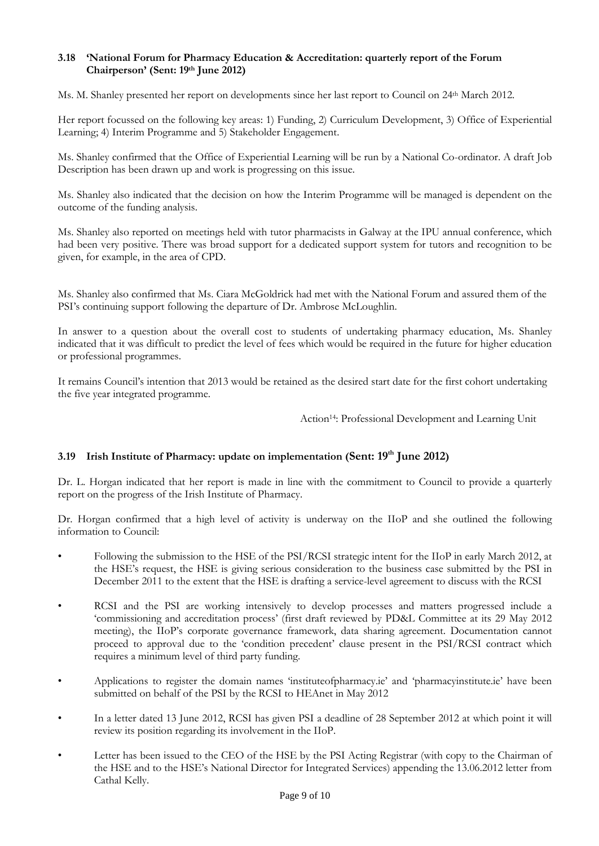# **3.18 'National Forum for Pharmacy Education & Accreditation: quarterly report of the Forum Chairperson' (Sent: 19th June 2012)**

Ms. M. Shanley presented her report on developments since her last report to Council on 24th March 2012.

Her report focussed on the following key areas: 1) Funding, 2) Curriculum Development, 3) Office of Experiential Learning; 4) Interim Programme and 5) Stakeholder Engagement.

Ms. Shanley confirmed that the Office of Experiential Learning will be run by a National Co-ordinator. A draft Job Description has been drawn up and work is progressing on this issue.

Ms. Shanley also indicated that the decision on how the Interim Programme will be managed is dependent on the outcome of the funding analysis.

Ms. Shanley also reported on meetings held with tutor pharmacists in Galway at the IPU annual conference, which had been very positive. There was broad support for a dedicated support system for tutors and recognition to be given, for example, in the area of CPD.

Ms. Shanley also confirmed that Ms. Ciara McGoldrick had met with the National Forum and assured them of the PSI's continuing support following the departure of Dr. Ambrose McLoughlin.

In answer to a question about the overall cost to students of undertaking pharmacy education, Ms. Shanley indicated that it was difficult to predict the level of fees which would be required in the future for higher education or professional programmes.

It remains Council's intention that 2013 would be retained as the desired start date for the first cohort undertaking the five year integrated programme.

Action14: Professional Development and Learning Unit

# **3.19 Irish Institute of Pharmacy: update on implementation (Sent: 19th June 2012)**

Dr. L. Horgan indicated that her report is made in line with the commitment to Council to provide a quarterly report on the progress of the Irish Institute of Pharmacy.

Dr. Horgan confirmed that a high level of activity is underway on the IIoP and she outlined the following information to Council:

- Following the submission to the HSE of the PSI/RCSI strategic intent for the IIoP in early March 2012, at the HSE's request, the HSE is giving serious consideration to the business case submitted by the PSI in December 2011 to the extent that the HSE is drafting a service-level agreement to discuss with the RCSI
- RCSI and the PSI are working intensively to develop processes and matters progressed include a 'commissioning and accreditation process' (first draft reviewed by PD&L Committee at its 29 May 2012 meeting), the IIoP's corporate governance framework, data sharing agreement. Documentation cannot proceed to approval due to the 'condition precedent' clause present in the PSI/RCSI contract which requires a minimum level of third party funding.
- Applications to register the domain names 'instituteofpharmacy.ie' and 'pharmacyinstitute.ie' have been submitted on behalf of the PSI by the RCSI to HEAnet in May 2012
- In a letter dated 13 June 2012, RCSI has given PSI a deadline of 28 September 2012 at which point it will review its position regarding its involvement in the IIoP.
- Letter has been issued to the CEO of the HSE by the PSI Acting Registrar (with copy to the Chairman of the HSE and to the HSE's National Director for Integrated Services) appending the 13.06.2012 letter from Cathal Kelly.